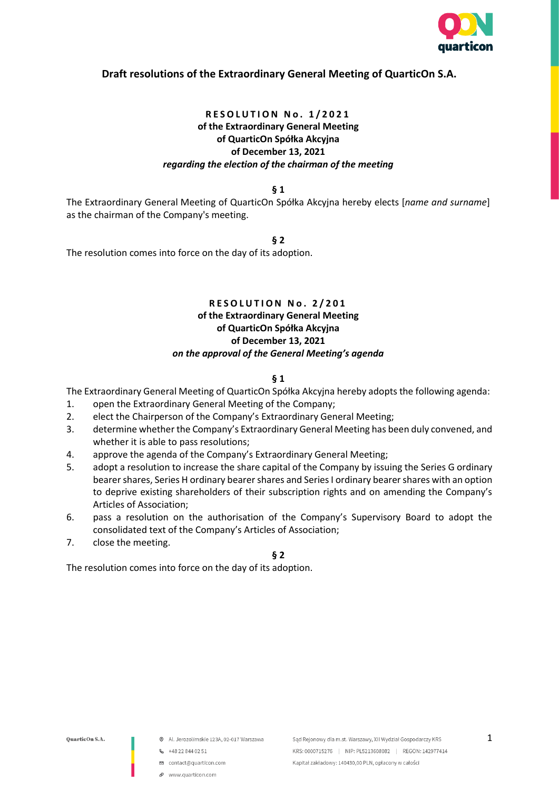

# **Draft resolutions of the Extraordinary General Meeting of QuarticOn S.A.**

## **R E S O L U T I O N N o . 1 / 2 0 2 1 of the Extraordinary General Meeting of QuarticOn Spółka Akcyjna of December 13, 2021** *regarding the election of the chairman of the meeting*

**§ 1**

The Extraordinary General Meeting of QuarticOn Spółka Akcyjna hereby elects [*name and surname*] as the chairman of the Company's meeting.

**§ 2**

The resolution comes into force on the day of its adoption.

# **RESOLUTION No. 2/201 of the Extraordinary General Meeting of QuarticOn Spółka Akcyjna of December 13, 2021** *on the approval of the General Meeting's agenda*

#### **§ 1**

The Extraordinary General Meeting of QuarticOn Spółka Akcyjna hereby adopts the following agenda:

- 1. open the Extraordinary General Meeting of the Company;
- 2. elect the Chairperson of the Company's Extraordinary General Meeting;
- 3. determine whether the Company's Extraordinary General Meeting has been duly convened, and whether it is able to pass resolutions;
- 4. approve the agenda of the Company's Extraordinary General Meeting;
- 5. adopt a resolution to increase the share capital of the Company by issuing the Series G ordinary bearer shares, Series H ordinary bearer shares and Series I ordinary bearer shares with an option to deprive existing shareholders of their subscription rights and on amending the Company's Articles of Association;
- 6. pass a resolution on the authorisation of the Company's Supervisory Board to adopt the consolidated text of the Company's Articles of Association;
- 7. close the meeting.

**§ 2**

The resolution comes into force on the day of its adoption.

- @ Al. Jerozolimskie 123A, 02-017 Warszawa
- $-48228440251$
- contact@quarticon.com
- www.guarticon.com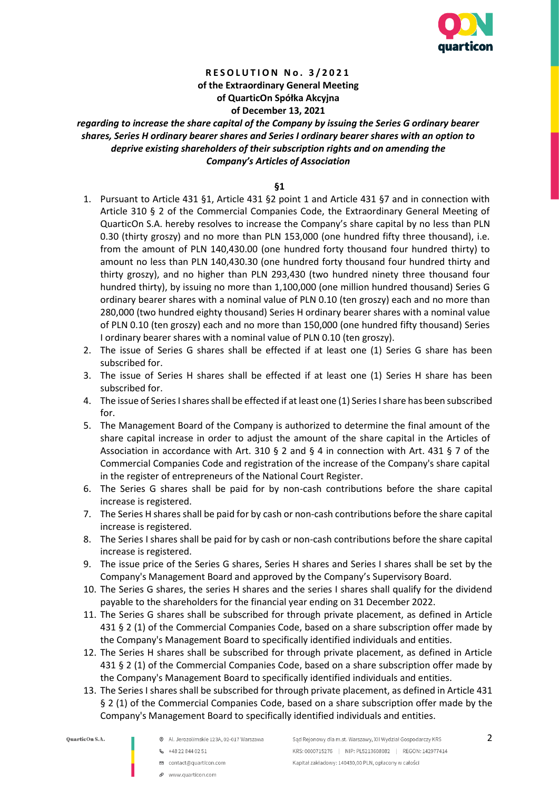

## **R E S O L U T I O N N o . 3 / 2 0 2 1 of the Extraordinary General Meeting of QuarticOn Spółka Akcyjna of December 13, 2021**

*regarding to increase the share capital of the Company by issuing the Series G ordinary bearer shares, Series H ordinary bearer shares and Series I ordinary bearer shares with an option to deprive existing shareholders of their subscription rights and on amending the Company's Articles of Association*

**§1**

- 1. Pursuant to Article 431 §1, Article 431 §2 point 1 and Article 431 §7 and in connection with Article 310 § 2 of the Commercial Companies Code, the Extraordinary General Meeting of QuarticOn S.A. hereby resolves to increase the Company's share capital by no less than PLN 0.30 (thirty groszy) and no more than PLN 153,000 (one hundred fifty three thousand), i.e. from the amount of PLN 140,430.00 (one hundred forty thousand four hundred thirty) to amount no less than PLN 140,430.30 (one hundred forty thousand four hundred thirty and thirty groszy), and no higher than PLN 293,430 (two hundred ninety three thousand four hundred thirty), by issuing no more than 1,100,000 (one million hundred thousand) Series G ordinary bearer shares with a nominal value of PLN 0.10 (ten groszy) each and no more than 280,000 (two hundred eighty thousand) Series H ordinary bearer shares with a nominal value of PLN 0.10 (ten groszy) each and no more than 150,000 (one hundred fifty thousand) Series I ordinary bearer shares with a nominal value of PLN 0.10 (ten groszy).
- 2. The issue of Series G shares shall be effected if at least one (1) Series G share has been subscribed for.
- 3. The issue of Series H shares shall be effected if at least one (1) Series H share has been subscribed for.
- 4. The issue of Series I shares shall be effected if at least one (1) Series I share has been subscribed for.
- 5. The Management Board of the Company is authorized to determine the final amount of the share capital increase in order to adjust the amount of the share capital in the Articles of Association in accordance with Art. 310 § 2 and § 4 in connection with Art. 431 § 7 of the Commercial Companies Code and registration of the increase of the Company's share capital in the register of entrepreneurs of the National Court Register.
- 6. The Series G shares shall be paid for by non-cash contributions before the share capital increase is registered.
- 7. The Series H shares shall be paid for by cash or non-cash contributions before the share capital increase is registered.
- 8. The Series I shares shall be paid for by cash or non-cash contributions before the share capital increase is registered.
- 9. The issue price of the Series G shares, Series H shares and Series I shares shall be set by the Company's Management Board and approved by the Company's Supervisory Board.
- 10. The Series G shares, the series H shares and the series I shares shall qualify for the dividend payable to the shareholders for the financial year ending on 31 December 2022.
- 11. The Series G shares shall be subscribed for through private placement, as defined in Article 431 § 2 (1) of the Commercial Companies Code, based on a share subscription offer made by the Company's Management Board to specifically identified individuals and entities.
- 12. The Series H shares shall be subscribed for through private placement, as defined in Article 431 § 2 (1) of the Commercial Companies Code, based on a share subscription offer made by the Company's Management Board to specifically identified individuals and entities.
- 13. The Series I shares shall be subscribed for through private placement, as defined in Article 431 § 2 (1) of the Commercial Companies Code, based on a share subscription offer made by the Company's Management Board to specifically identified individuals and entities.

- @ Al. Jerozolimskie 123A, 02-017 Warszawa
- **&** +48 22 844 02 51
- contact@quarticon.com
- P www.quarticon.com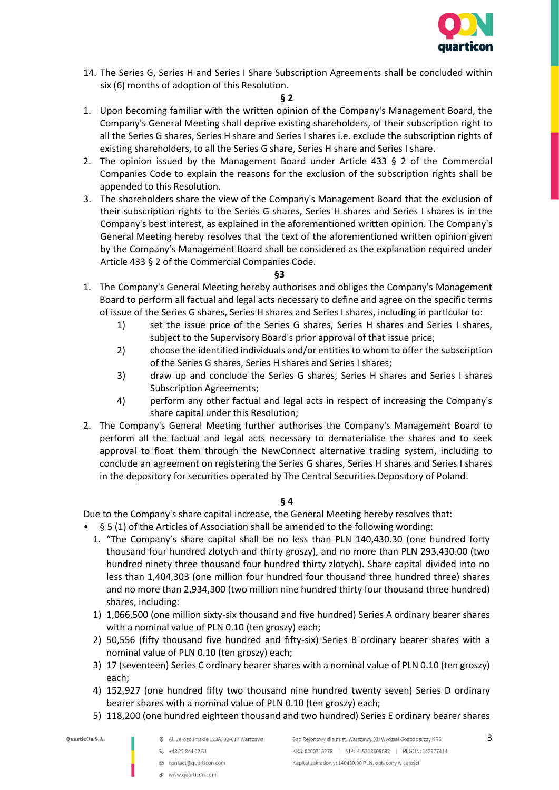

14. The Series G, Series H and Series I Share Subscription Agreements shall be concluded within six (6) months of adoption of this Resolution.

#### **§ 2**

- 1. Upon becoming familiar with the written opinion of the Company's Management Board, the Company's General Meeting shall deprive existing shareholders, of their subscription right to all the Series G shares, Series H share and Series I shares i.e. exclude the subscription rights of existing shareholders, to all the Series G share, Series H share and Series I share.
- 2. The opinion issued by the Management Board under Article 433 § 2 of the Commercial Companies Code to explain the reasons for the exclusion of the subscription rights shall be appended to this Resolution.
- 3. The shareholders share the view of the Company's Management Board that the exclusion of their subscription rights to the Series G shares, Series H shares and Series I shares is in the Company's best interest, as explained in the aforementioned written opinion. The Company's General Meeting hereby resolves that the text of the aforementioned written opinion given by the Company's Management Board shall be considered as the explanation required under Article 433 § 2 of the Commercial Companies Code.

#### **§3**

- 1. The Company's General Meeting hereby authorises and obliges the Company's Management Board to perform all factual and legal acts necessary to define and agree on the specific terms of issue of the Series G shares, Series H shares and Series I shares, including in particular to:
	- 1) set the issue price of the Series G shares, Series H shares and Series I shares, subject to the Supervisory Board's prior approval of that issue price;
	- 2) choose the identified individuals and/or entities to whom to offer the subscription of the Series G shares, Series H shares and Series I shares;
	- 3) draw up and conclude the Series G shares, Series H shares and Series I shares Subscription Agreements;
	- 4) perform any other factual and legal acts in respect of increasing the Company's share capital under this Resolution;
- 2. The Company's General Meeting further authorises the Company's Management Board to perform all the factual and legal acts necessary to dematerialise the shares and to seek approval to float them through the NewConnect alternative trading system, including to conclude an agreement on registering the Series G shares, Series H shares and Series I shares in the depository for securities operated by The Central Securities Depository of Poland.

### **§ 4**

Due to the Company's share capital increase, the General Meeting hereby resolves that:

- § 5 (1) of the Articles of Association shall be amended to the following wording:
	- 1. "The Company's share capital shall be no less than PLN 140,430.30 (one hundred forty thousand four hundred zlotych and thirty groszy), and no more than PLN 293,430.00 (two hundred ninety three thousand four hundred thirty zlotych). Share capital divided into no less than 1,404,303 (one million four hundred four thousand three hundred three) shares and no more than 2,934,300 (two million nine hundred thirty four thousand three hundred) shares, including:
	- 1) 1,066,500 (one million sixty-six thousand and five hundred) Series A ordinary bearer shares with a nominal value of PLN 0.10 (ten groszy) each;
	- 2) 50,556 (fifty thousand five hundred and fifty-six) Series B ordinary bearer shares with a nominal value of PLN 0.10 (ten groszy) each;
	- 3) 17 (seventeen) Series C ordinary bearer shares with a nominal value of PLN 0.10 (ten groszy) each;
	- 4) 152,927 (one hundred fifty two thousand nine hundred twenty seven) Series D ordinary bearer shares with a nominal value of PLN 0.10 (ten groszy) each;
	- 5) 118,200 (one hundred eighteen thousand and two hundred) Series E ordinary bearer shares

- @ Al. Jerozolimskie 123A, 02-017 Warszawa
	- **&** +48 22 844 02 51
	- contact@quarticon.com